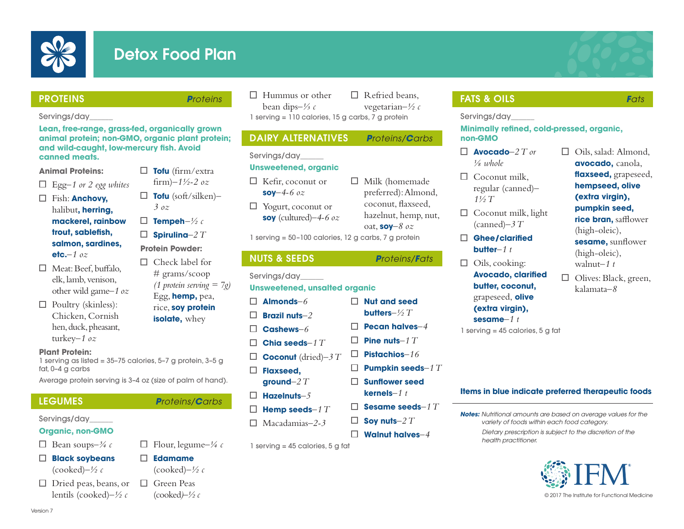

# Detox Food Plan

**Tofu** (firm/extra

### PROTEINS *Proteins*

### Servings/day\_\_\_\_\_\_

**Lean, free-range, grass-fed, organically grown animal protein; non-GMO, organic plant protein; and wild-caught, low-mercury fish. Avoid canned meats.**

### **Animal Proteins:**

- Egg*–1 or 2 egg whites*
- Fish: **Anchovy,** halibut**, herring, mackerel, rainbow trout, sablefish, salmon, sardines, etc.***–1 oz*
- $\Box$  Meat: Beef, buffalo, elk, lamb, venison, other wild game*–1 oz*
- $\Box$  Poultry (skinless): Chicken, Cornish hen, duck, pheasant, turkey*–1 oz*
- **Protein Powder:**  $\Box$  Check label for # grams/scoop Egg, **hemp,** pea, rice, **soy protein**

### **Plant Protein:**

1 serving as listed = 35–75 calories, 5–7 g protein, 3–5 g fat, 0–4 g carbs

Average protein serving is 3–4 oz (size of palm of hand).

# Servings/day\_\_\_\_\_\_

- **Organic, non-GMO**
- $\Box$  Bean soups– $\frac{3}{4}c$
- **Black soybeans** (cooked)*–½ c*
- $\Box$  Dried peas, beans, or lentils (cooked)*–½ c*

**isolate**, whey

 $\Box$  Flour, legume<sup>-1/4</sup> c

 $\Box$  Hummus or other bean dips*–⅓ c*  $\Box$  Refried beans, vegetarian*–½ c* 1 serving = 110 calories, 15 g carbs, 7 g protein

# DAIRY ALTERNATIVES *Proteins/Carbs*

### Servings/day\_\_\_\_\_\_

# **Unsweetened, organic**

- $\Box$  Kefir, coconut or **soy***–4-6 oz*  $\Box$  Yogurt, coconut or
	- **soy** (cultured)*–4-6 oz*

1 serving = 50–100 calories, 12 g carbs, 7 g protein

Servings/day\_\_\_\_\_\_

# **Unsweetened, unsalted organic**

- **Almonds***–6* П
- **Brazil nuts***–2* П
- П **Cashews***–6* П
- **Coconut** (dried)*–3 T* П.
- **Flaxseed,**
- **ground***–2 T*
- **Hazelnuts***–5*
- **Hemp seeds***–1 T* □
- Macadamias*–2-3*

 $1$  serving = 45 calories, 5 g fat

# FATS & OILS *Fats*

Servings/day\_\_\_\_\_\_

### **Minimally refined, cold-pressed, organic, non-GMO**

- $\Box$  **Avocado**–2  $T$  or *⅛ whole*
- $\Box$  Coconut milk, regular (canned)*– 1½ T*
- $\Box$  Coconut milk, light (canned)*–3 T*
- **Ghee/clarified butter***–1 t*
- $\Box$  Oils, cooking:
	- **Avocado, clarified butter, coconut,**  grapeseed, **olive (extra virgin), sesame***–1 t*

1 serving = 45 calories, 5 g fat

# □ Oils, salad: Almond, **avocado,** canola, **flaxseed,** grapeseed, **hempseed, olive (extra virgin), pumpkin seed, rice bran,** safflower (high-oleic),

- **sesame,** sunflower (high-oleic), walnut*–1 t*
- $\Box$ Olives: Black, green, kalamata*–8*

# **Items in blue indicate preferred therapeutic foods**

*Notes: Nutritional amounts are based on average values for the variety of foods within each food category.*

*Dietary prescription is subject to the discretion of the health practitioner.*



(cooked*)–½ c* © 2017 The Institute for Functional Medicine

- **Edamame** (cooked)*–½ c*
	- □ Green Peas

Version 7





- *(1 protein serving = 7g)*
- oat, **soy***–8 oz* NUTS & SEEDS *Proteins/Fats*

 $\Box$  Milk (homemade preferred): Almond, coconut, flaxseed, hazelnut, hemp, nut,

**Nut and seed** 

**Pistachios***–16*

**Soy nuts***–2 T* **Walnut halves***–4*

**Pumpkin seeds***–1 T* **Sunflower seed kernels***–1 t* **Sesame seeds***–1 T*

- 
- 

- LEGUMES *Proteins/Carbs*
	- - П
- **butters***–½ T*
- **Pecan halves***–4*
- **Chia seeds***–1 T* **Pine nuts***–1 T*